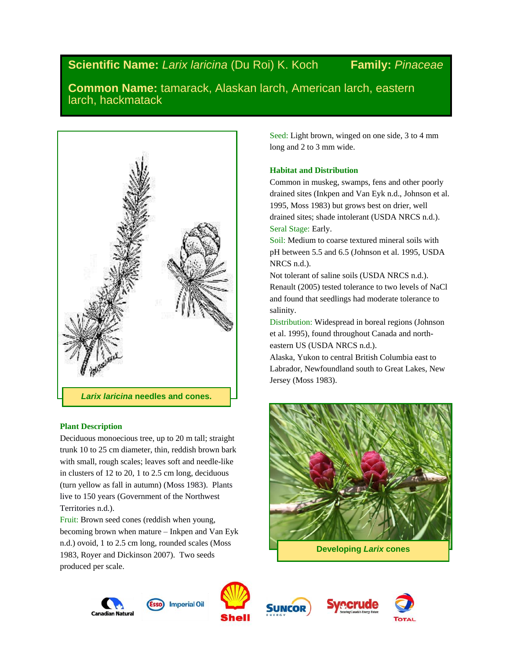# **Scientific Name:** *Larix laricina* (Du Roi) K. Koch **Family:** *Pinaceae*

**Common Name:** tamarack, Alaskan larch, American larch, eastern larch, hackmatack



# **Plant Description**

Deciduous monoecious tree, up to 20 m tall; straight trunk 10 to 25 cm diameter, thin, reddish brown bark with small, rough scales; leaves soft and needle-like in clusters of 12 to 20, 1 to 2.5 cm long, deciduous (turn yellow as fall in autumn) (Moss 1983). Plants live to 150 years (Government of the Northwest Territories n.d.).

Fruit: Brown seed cones (reddish when young, becoming brown when mature – Inkpen and Van Eyk n.d.) ovoid, 1 to 2.5 cm long, rounded scales (Moss 1983, Royer and Dickinson 2007). Two seeds produced per scale.

Seed: Light brown, winged on one side, 3 to 4 mm long and 2 to 3 mm wide.

# **Habitat and Distribution**

Common in muskeg, swamps, fens and other poorly drained sites (Inkpen and Van Eyk n.d., Johnson et al. 1995, Moss 1983) but grows best on drier, well drained sites; shade intolerant (USDA NRCS n.d.). Seral Stage: Early.

Soil: Medium to coarse textured mineral soils with pH between 5.5 and 6.5 (Johnson et al. 1995, USDA NRCS n.d.).

Not tolerant of saline soils (USDA NRCS n.d.). Renault (2005) tested tolerance to two levels of NaCl and found that seedlings had moderate tolerance to salinity.

Distribution: Widespread in boreal regions (Johnson et al. 1995), found throughout Canada and northeastern US (USDA NRCS n.d.).

Alaska, Yukon to central British Columbia east to Labrador, Newfoundland south to Great Lakes, New Jersey (Moss 1983).









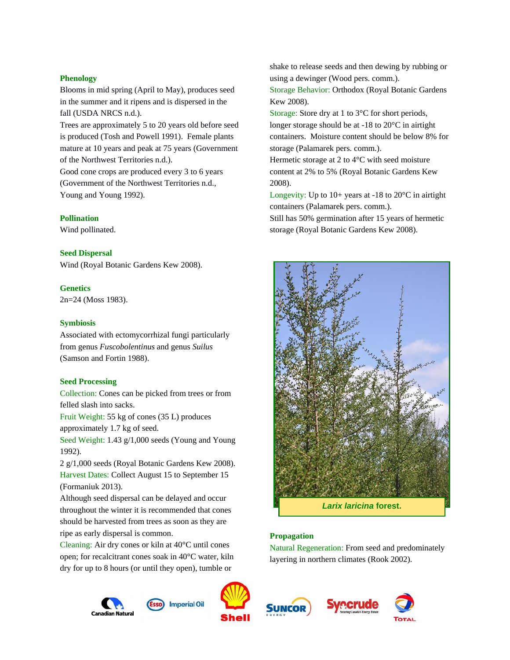#### **Phenology**

Blooms in mid spring (April to May), produces seed in the summer and it ripens and is dispersed in the fall (USDA NRCS n.d.).

Trees are approximately 5 to 20 years old before seed is produced (Tosh and Powell 1991). Female plants mature at 10 years and peak at 75 years (Government of the Northwest Territories n.d.).

Good cone crops are produced every 3 to 6 years (Government of the Northwest Territories n.d., Young and Young 1992).

#### **Pollination**

Wind pollinated.

## **Seed Dispersal**

Wind (Royal Botanic Gardens Kew 2008).

## **Genetics**

2n=24 (Moss 1983).

## **Symbiosis**

Associated with ectomycorrhizal fungi particularly from genus *Fuscobolentinus* and genus *Suilus* (Samson and Fortin 1988).

## **Seed Processing**

Collection: Cones can be picked from trees or from felled slash into sacks.

Fruit Weight: 55 kg of cones (35 L) produces

approximately 1.7 kg of seed.

Seed Weight: 1.43 g/1,000 seeds (Young and Young 1992).

2 g/1,000 seeds (Royal Botanic Gardens Kew 2008). Harvest Dates: Collect August 15 to September 15 (Formaniuk 2013).

Although seed dispersal can be delayed and occur throughout the winter it is recommended that cones should be harvested from trees as soon as they are ripe as early dispersal is common.

Cleaning: Air dry cones or kiln at 40°C until cones open; for recalcitrant cones soak in 40°C water, kiln dry for up to 8 hours (or until they open), tumble or







shake to release seeds and then dewing by rubbing or using a dewinger (Wood pers. comm.).

Storage Behavior: Orthodox (Royal Botanic Gardens Kew 2008).

Storage: Store dry at 1 to 3°C for short periods, longer storage should be at -18 to 20°C in airtight containers. Moisture content should be below 8% for storage (Palamarek pers. comm.).

Hermetic storage at 2 to 4°C with seed moisture content at 2% to 5% (Royal Botanic Gardens Kew 2008).

Longevity: Up to  $10+$  years at -18 to  $20^{\circ}$ C in airtight containers (Palamarek pers. comm.). Still has 50% germination after 15 years of hermetic storage (Royal Botanic Gardens Kew 2008).



# **Propagation**

Natural Regeneration: From seed and predominately layering in northern climates (Rook 2002).



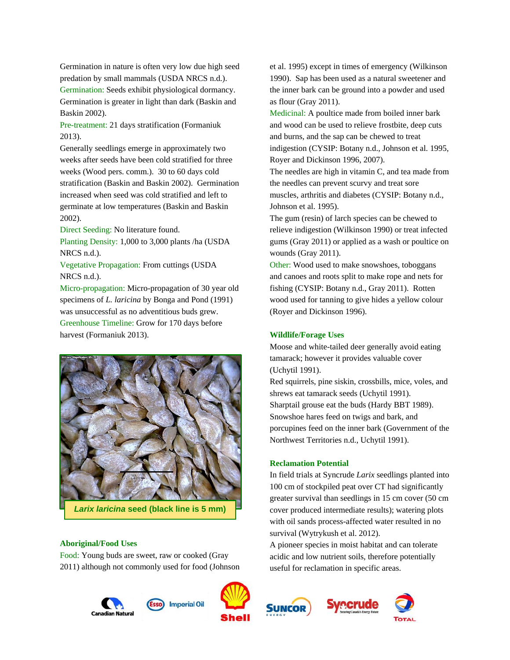Germination in nature is often very low due high seed predation by small mammals (USDA NRCS n.d.). Germination: Seeds exhibit physiological dormancy. Germination is greater in light than dark (Baskin and Baskin 2002).

Pre-treatment: 21 days stratification (Formaniuk 2013).

Generally seedlings emerge in approximately two weeks after seeds have been cold stratified for three weeks (Wood pers. comm.). 30 to 60 days cold stratification (Baskin and Baskin 2002). Germination increased when seed was cold stratified and left to germinate at low temperatures (Baskin and Baskin 2002).

Direct Seeding: No literature found.

Planting Density: 1,000 to 3,000 plants /ha (USDA NRCS n.d.).

Vegetative Propagation: From cuttings (USDA NRCS n.d.).

Micro-propagation: Micro-propagation of 30 year old specimens of *L. laricina* by Bonga and Pond (1991) was unsuccessful as no adventitious buds grew. Greenhouse Timeline: Grow for 170 days before harvest (Formaniuk 2013).



*Larix laricina* **seed (black line is 5 mm)**

#### **Aboriginal/Food Uses**

Food: Young buds are sweet, raw or cooked (Gray 2011) although not commonly used for food (Johnson



et al. 1995) except in times of emergency (Wilkinson 1990). Sap has been used as a natural sweetener and the inner bark can be ground into a powder and used as flour (Gray 2011).

Medicinal: A poultice made from boiled inner bark and wood can be used to relieve frostbite, deep cuts and burns, and the sap can be chewed to treat indigestion (CYSIP: Botany n.d., Johnson et al. 1995, Royer and Dickinson 1996, 2007).

The needles are high in vitamin C, and tea made from the needles can prevent scurvy and treat sore muscles, arthritis and diabetes (CYSIP: Botany n.d., Johnson et al. 1995).

The gum (resin) of larch species can be chewed to relieve indigestion (Wilkinson 1990) or treat infected gums (Gray 2011) or applied as a wash or poultice on wounds (Gray 2011).

Other: Wood used to make snowshoes, toboggans and canoes and roots split to make rope and nets for fishing (CYSIP: Botany n.d., Gray 2011). Rotten wood used for tanning to give hides a yellow colour (Royer and Dickinson 1996).

#### **Wildlife/Forage Uses**

Moose and white-tailed deer generally avoid eating tamarack; however it provides valuable cover (Uchytil 1991).

Red squirrels, pine siskin, crossbills, mice, voles, and shrews eat tamarack seeds (Uchytil 1991). Sharptail grouse eat the buds (Hardy BBT 1989). Snowshoe hares feed on twigs and bark, and porcupines feed on the inner bark (Government of the Northwest Territories n.d., Uchytil 1991).

#### **Reclamation Potential**

In field trials at Syncrude *Larix* seedlings planted into 100 cm of stockpiled peat over CT had significantly greater survival than seedlings in 15 cm cover (50 cm cover produced intermediate results); watering plots with oil sands process-affected water resulted in no survival (Wytrykush et al. 2012).

A pioneer species in moist habitat and can tolerate acidic and low nutrient soils, therefore potentially useful for reclamation in specific areas.



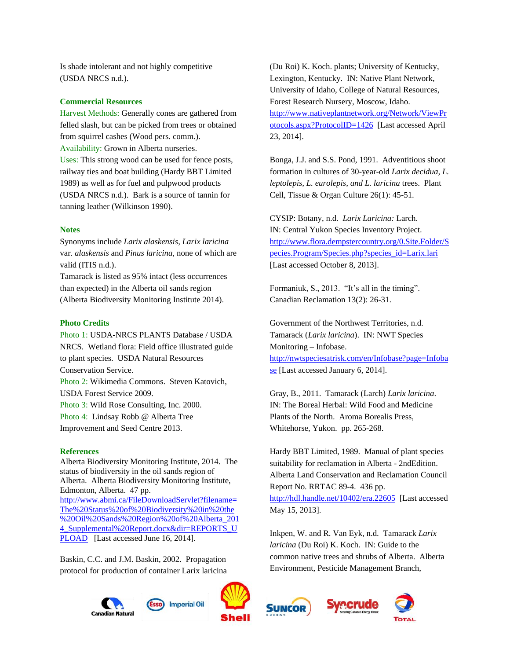Is shade intolerant and not highly competitive (USDA NRCS n.d.).

## **Commercial Resources**

Harvest Methods: Generally cones are gathered from felled slash, but can be picked from trees or obtained from squirrel cashes (Wood pers. comm.). Availability: Grown in Alberta nurseries. Uses: This strong wood can be used for fence posts, railway ties and boat building (Hardy BBT Limited 1989) as well as for fuel and pulpwood products (USDA NRCS n.d.). Bark is a source of tannin for tanning leather (Wilkinson 1990).

#### **Notes**

Synonyms include *Larix alaskensis*, *Larix laricina* var. *alaskensis* and *Pinus laricina*, none of which are valid (ITIS n.d.).

Tamarack is listed as 95% intact (less occurrences than expected) in the Alberta oil sands region (Alberta Biodiversity Monitoring Institute 2014).

#### **Photo Credits**

Photo 1: USDA-NRCS PLANTS Database / USDA NRCS*.* Wetland flora: Field office illustrated guide to plant species. USDA Natural Resources Conservation Service. Photo 2: Wikimedia Commons. Steven Katovich, USDA Forest Service 2009. Photo 3: Wild Rose Consulting, Inc. 2000. Photo 4: Lindsay Robb @ Alberta Tree Improvement and Seed Centre 2013.

#### **References**

Alberta Biodiversity Monitoring Institute, 2014. The status of biodiversity in the oil sands region of Alberta. Alberta Biodiversity Monitoring Institute, Edmonton, Alberta. 47 pp. [http://www.abmi.ca/FileDownloadServlet?filename=](http://www.abmi.ca/FileDownloadServlet?filename=The%20Status%20of%20Biodiversity%20in%20the%20Oil%20Sands%20Region%20of%20Alberta_2014_Supplemental%20Report.docx&dir=REPORTS_UPLOAD) [The%20Status%20of%20Biodiversity%20in%20the](http://www.abmi.ca/FileDownloadServlet?filename=The%20Status%20of%20Biodiversity%20in%20the%20Oil%20Sands%20Region%20of%20Alberta_2014_Supplemental%20Report.docx&dir=REPORTS_UPLOAD) [%20Oil%20Sands%20Region%20of%20Alberta\\_201](http://www.abmi.ca/FileDownloadServlet?filename=The%20Status%20of%20Biodiversity%20in%20the%20Oil%20Sands%20Region%20of%20Alberta_2014_Supplemental%20Report.docx&dir=REPORTS_UPLOAD) 4 Supplemental%20Report.docx&dir=REPORTS\_U [PLOAD](http://www.abmi.ca/FileDownloadServlet?filename=The%20Status%20of%20Biodiversity%20in%20the%20Oil%20Sands%20Region%20of%20Alberta_2014_Supplemental%20Report.docx&dir=REPORTS_UPLOAD) [Last accessed June 16, 2014].

Baskin, C.C. and J.M. Baskin, 2002. Propagation protocol for production of container Larix laricina





(Du Roi) K. Koch. plants; University of Kentucky, Lexington, Kentucky. IN: Native Plant Network, University of Idaho, College of Natural Resources, Forest Research Nursery, Moscow, Idaho. [http://www.nativeplantnetwork.org/Network/ViewPr](http://www.nativeplantnetwork.org/Network/ViewProtocols.aspx?ProtocolID=1426) [otocols.aspx?ProtocolID=1426](http://www.nativeplantnetwork.org/Network/ViewProtocols.aspx?ProtocolID=1426) [Last accessed April 23, 2014].

Bonga, J.J. and S.S. Pond, 1991. Adventitious shoot formation in cultures of 30-year-old *Larix decidua, L. leptolepis, L. eurolepis, and L. laricina* trees. Plant Cell, Tissue & Organ Culture 26(1): 45-51.

CYSIP: Botany, n.d. *Larix Laricina:* Larch. IN: Central Yukon Species Inventory Project. [http://www.flora.dempstercountry.org/0.Site.Folder/S](http://www.flora.dempstercountry.org/0.Site.Folder/Species.Program/Species.php?species_id=Larix.lari) [pecies.Program/Species.php?species\\_id=Larix.lari](http://www.flora.dempstercountry.org/0.Site.Folder/Species.Program/Species.php?species_id=Larix.lari)  [Last accessed October 8, 2013].

Formaniuk, S., 2013. "It's all in the timing". Canadian Reclamation 13(2): 26-31.

Government of the Northwest Territories, n.d. Tamarack (*Larix laricina*). IN: NWT Species Monitoring – Infobase. [http://nwtspeciesatrisk.com/en/Infobase?page=Infoba](http://nwtspeciesatrisk.com/en/Infobase?page=Infobase) [se](http://nwtspeciesatrisk.com/en/Infobase?page=Infobase) [Last accessed January 6, 2014].

Gray, B., 2011. Tamarack (Larch) *Larix laricina*. IN: The Boreal Herbal: Wild Food and Medicine Plants of the North. Aroma Borealis Press, Whitehorse, Yukon. pp. 265-268.

Hardy BBT Limited, 1989. Manual of plant species suitability for reclamation in Alberta - 2ndEdition. Alberta Land Conservation and Reclamation Council Report No. RRTAC 89-4. 436 pp. <http://hdl.handle.net/10402/era.22605>[Last accessed May 15, 2013].

Inkpen, W. and R. Van Eyk, n.d. Tamarack *Larix laricina* (Du Roi) K. Koch. IN: Guide to the common native trees and shrubs of Alberta. Alberta Environment, Pesticide Management Branch,

recrude



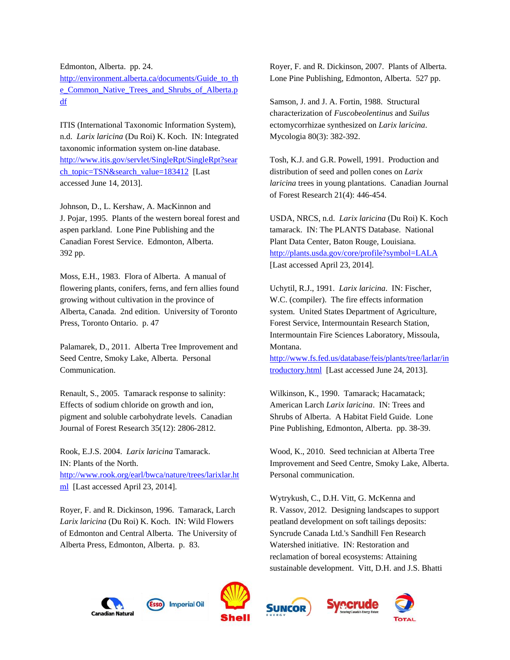Edmonton, Alberta. pp. 24.

[http://environment.alberta.ca/documents/Guide\\_to\\_th](http://environment.alberta.ca/documents/Guide_to_the_Common_Native_Trees_and_Shrubs_of_Alberta.pdf) [e\\_Common\\_Native\\_Trees\\_and\\_Shrubs\\_of\\_Alberta.p](http://environment.alberta.ca/documents/Guide_to_the_Common_Native_Trees_and_Shrubs_of_Alberta.pdf) [df](http://environment.alberta.ca/documents/Guide_to_the_Common_Native_Trees_and_Shrubs_of_Alberta.pdf)

ITIS (International Taxonomic Information System), n.d. *Larix laricina* (Du Roi) K. Koch. IN: Integrated taxonomic information system on-line database. [http://www.itis.gov/servlet/SingleRpt/SingleRpt?sear](http://www.itis.gov/servlet/SingleRpt/SingleRpt?search_topic=TSN&search_value=183412) [ch\\_topic=TSN&search\\_value=183412](http://www.itis.gov/servlet/SingleRpt/SingleRpt?search_topic=TSN&search_value=183412) [Last accessed June 14, 2013].

Johnson, D., L. Kershaw, A. MacKinnon and J. Pojar, 1995. Plants of the western boreal forest and aspen parkland. Lone Pine Publishing and the Canadian Forest Service. Edmonton, Alberta. 392 pp.

Moss, E.H., 1983. Flora of Alberta. A manual of flowering plants, conifers, ferns, and fern allies found growing without cultivation in the province of Alberta, Canada. 2nd edition. University of Toronto Press, Toronto Ontario. p. 47

Palamarek, D., 2011. Alberta Tree Improvement and Seed Centre, Smoky Lake, Alberta. Personal Communication.

Renault, S., 2005. Tamarack response to salinity: Effects of sodium chloride on growth and ion, pigment and soluble carbohydrate levels. Canadian Journal of Forest Research 35(12): 2806-2812.

Rook, E.J.S. 2004. *Larix laricina* Tamarack. IN: Plants of the North. [http://www.rook.org/earl/bwca/nature/trees/larixlar.ht](http://www.rook.org/earl/bwca/nature/trees/larixlar.html) [ml](http://www.rook.org/earl/bwca/nature/trees/larixlar.html) [Last accessed April 23, 2014].

Royer, F. and R. Dickinson, 1996. Tamarack, Larch *Larix laricina* (Du Roi) K. Koch. IN: Wild Flowers of Edmonton and Central Alberta. The University of Alberta Press, Edmonton, Alberta. p. 83.

Royer, F. and R. Dickinson, 2007. Plants of Alberta. Lone Pine Publishing, Edmonton, Alberta. 527 pp.

Samson, J. and J. A. Fortin, 1988. Structural characterization of *Fuscobeolentinus* and *Suilus* ectomycorrhizae synthesized on *Larix laricina*. Mycologia 80(3): 382-392.

Tosh, K.J. and G.R. Powell, 1991. Production and distribution of seed and pollen cones on *Larix laricina* trees in young plantations. Canadian Journal of Forest Research 21(4): 446-454.

USDA, NRCS, n.d. *Larix laricina* (Du Roi) K. Koch tamarack. IN: The PLANTS Database. National Plant Data Center, Baton Rouge, Louisiana. <http://plants.usda.gov/core/profile?symbol=LALA> [Last accessed April 23, 2014].

Uchytil, R.J., 1991. *Larix laricina*. IN: Fischer, W.C. (compiler). The fire effects information system. United States Department of Agriculture, Forest Service, Intermountain Research Station, Intermountain Fire Sciences Laboratory, Missoula, Montana.

[http://www.fs.fed.us/database/feis/plants/tree/larlar/in](http://www.fs.fed.us/database/feis/plants/tree/larlar/introductory.html) [troductory.html](http://www.fs.fed.us/database/feis/plants/tree/larlar/introductory.html) [Last accessed June 24, 2013].

Wilkinson, K., 1990. Tamarack; Hacamatack; American Larch *Larix laricina*. IN: Trees and Shrubs of Alberta. A Habitat Field Guide. Lone Pine Publishing, Edmonton, Alberta. pp. 38-39.

Wood, K., 2010. Seed technician at Alberta Tree Improvement and Seed Centre, Smoky Lake, Alberta. Personal communication.

Wytrykush, C., D.H. Vitt, G. McKenna and R. Vassov, 2012. Designing landscapes to support peatland development on soft tailings deposits: Syncrude Canada Ltd.'s Sandhill Fen Research Watershed initiative. IN: Restoration and reclamation of boreal ecosystems: Attaining sustainable development. Vitt, D.H. and J.S. Bhatti